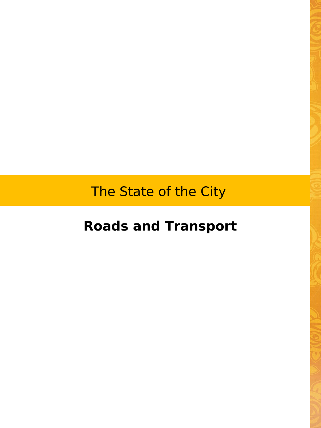The State of the City

## **Roads and Transport**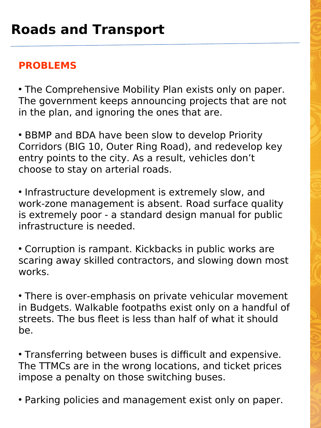## **PROBLEMS**

• The Comprehensive Mobility Plan exists only on paper. The government keeps announcing projects that are not in the plan, and ignoring the ones that are.

• BBMP and BDA have been slow to develop Priority Corridors (BIG 10, Outer Ring Road), and redevelop key entry points to the city. As a result, vehicles don't choose to stay on arterial roads.

• Infrastructure development is extremely slow, and work-zone management is absent. Road surface quality is extremely poor - a standard design manual for public infrastructure is needed.

• Corruption is rampant. Kickbacks in public works are scaring away skilled contractors, and slowing down most works.

• There is over-emphasis on private vehicular movement in Budgets. Walkable footpaths exist only on a handful of streets. The bus fleet is less than half of what it should be.

• Transferring between buses is difficult and expensive. The TTMCs are in the wrong locations, and ticket prices impose a penalty on those switching buses.

• Parking policies and management exist only on paper.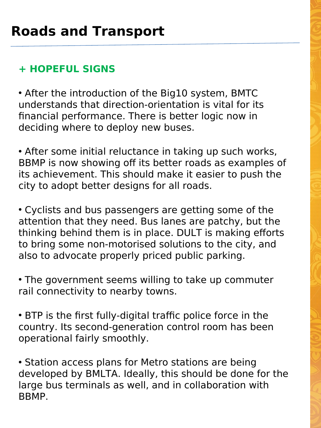## **+ HOPEFUL SIGNS**

• After the introduction of the Big10 system, BMTC understands that direction-orientation is vital for its financial performance. There is better logic now in deciding where to deploy new buses.

• After some initial reluctance in taking up such works, BBMP is now showing off its better roads as examples of its achievement. This should make it easier to push the city to adopt better designs for all roads.

• Cyclists and bus passengers are getting some of the attention that they need. Bus lanes are patchy, but the thinking behind them is in place. DULT is making efforts to bring some non-motorised solutions to the city, and also to advocate properly priced public parking.

• The government seems willing to take up commuter rail connectivity to nearby towns.

• BTP is the first fully-digital traffic police force in the country. Its second-generation control room has been operational fairly smoothly.

• Station access plans for Metro stations are being developed by BMLTA. Ideally, this should be done for the large bus terminals as well, and in collaboration with BBMP.